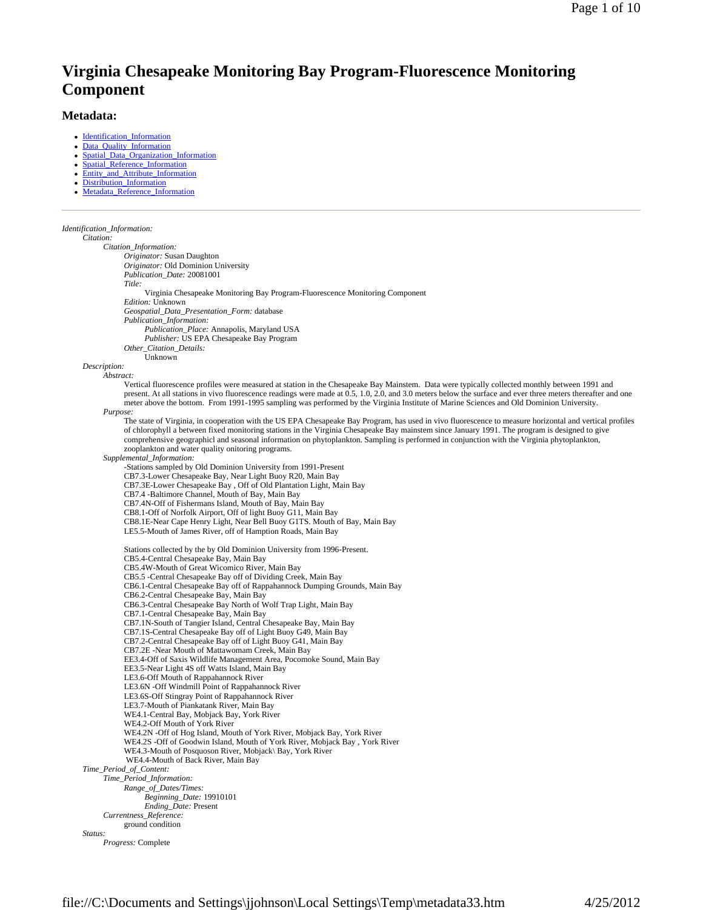# **Virginia Chesapeake Monitoring Bay Program-Fluorescence Monitoring Component**

## **Metadata:**

- Identification\_Information
- Data\_Quality\_Information
- Spatial\_Data\_Organization\_Information Spatial Reference Information
- Entity and Attribute Information
- Distribution Information
- Metadata\_Reference\_Information

*Identification\_Information:*

*Citation: Citation\_Information: Originator:* Susan Daughton *Originator:* Old Dominion University *Publication\_Date:* 20081001 *Title:* Virginia Chesapeake Monitoring Bay Program-Fluorescence Monitoring Component *Edition:* Unknown *Geospatial\_Data\_Presentation\_Form:* database *Publication\_Information: Publication\_Place:* Annapolis, Maryland USA *Publisher:* US EPA Chesapeake Bay Program *Other\_Citation\_Details:* Unknown *Description: Abstract:* Vertical fluorescence profiles were measured at station in the Chesapeake Bay Mainstem. Data were typically collected monthly between 1991 and present. At all stations in vivo fluorescence readings were made at 0.5, 1.0, 2.0, and 3.0 meters below the surface and ever three meters thereafter and one meter above the bottom. From 1991-1995 sampling was performed by the Virginia Institute of Marine Sciences and Old Dominion University. *Purpose:* The state of Virginia, in cooperation with the US EPA Chesapeake Bay Program, has used in vivo fluorescence to measure horizontal and vertical profiles of chlorophyll a between fixed monitoring stations in the Virginia Chesapeake Bay mainstem since January 1991. The program is designed to give comprehensive geographicl and seasonal information on phytoplankton. Sampling is performed in conjunction with the Virginia phytoplankton, zooplankton and water quality onitoring programs. *Supplemental\_Information:* -Stations sampled by Old Dominion University from 1991-Present CB7.3-Lower Chesapeake Bay, Near Light Buoy R20, Main Bay CB7.3E-Lower Chesapeake Bay , Off of Old Plantation Light, Main Bay CB7.4 -Baltimore Channel, Mouth of Bay, Main Bay CB7.4N-Off of Fishermans Island, Mouth of Bay, Main Bay CB8.1-Off of Norfolk Airport, Off of light Buoy G11, Main Bay CB8.1E-Near Cape Henry Light, Near Bell Buoy G1TS. Mouth of Bay, Main Bay LE5.5-Mouth of James River, off of Hamption Roads, Main Bay Stations collected by the by Old Dominion University from 1996-Present. CB5.4-Central Chesapeake Bay, Main Bay CB5.4W-Mouth of Great Wicomico River, Main Bay CB5.5 -Central Chesapeake Bay off of Dividing Creek, Main Bay CB6.1-Central Chesapeake Bay off of Rappahannock Dumping Grounds, Main Bay CB6.2-Central Chesapeake Bay, Main Bay CB6.3-Central Chesapeake Bay North of Wolf Trap Light, Main Bay CB7.1-Central Chesapeake Bay, Main Bay CB7.1N-South of Tangier Island, Central Chesapeake Bay, Main Bay CB7.1S-Central Chesapeake Bay off of Light Buoy G49, Main Bay CB7.2-Central Chesapeake Bay off of Light Buoy G41, Main Bay CB7.2E -Near Mouth of Mattawomam Creek, Main Bay EE3.4-Off of Saxis Wildlife Management Area, Pocomoke Sound, Main Bay EE3.5-Near Light 4S off Watts Island, Main Bay LE3.6-Off Mouth of Rappahannock River LE3.6N -Off Windmill Point of Rappahannock River LE3.6S-Off Stingray Point of Rappahannock River LE3.7-Mouth of Piankatank River, Main Bay WE4.1-Central Bay, Mobjack Bay, York River WE4.2-Off Mouth of York River WE4.2N -Off of Hog Island, Mouth of York River, Mobjack Bay, York River WE4.2S -Off of Goodwin Island, Mouth of York River, Mobjack Bay , York River WE4.3-Mouth of Posquoson River, Mobjack\ Bay, York River WE4.4-Mouth of Back River, Main Bay *Time\_Period\_of\_Content: Time\_Period\_Information: Range\_of\_Dates/Times: Beginning\_Date:* 19910101 *Ending\_Date:* Present *Currentness\_Reference:* ground condition *Status: Progress:* Complete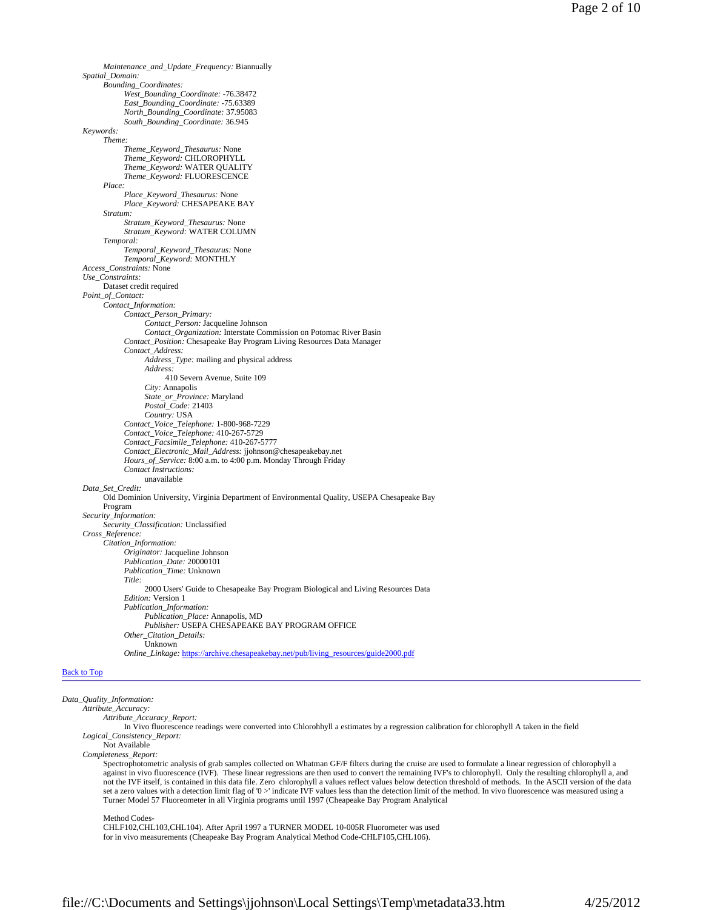```
Maintenance_and_Update_Frequency: Biannually 
      Spatial_Domain: 
           Bounding_Coordinates: 
                 West_Bounding_Coordinate: -76.38472 
                 East_Bounding_Coordinate: -75.63389 
                 North_Bounding_Coordinate: 37.95083 
                 South_Bounding_Coordinate: 36.945 
     Keywords: 
           Theme: 
                 Theme_Keyword_Thesaurus: None 
                 Theme_Keyword: CHLOROPHYLL 
                 Theme_Keyword: WATER QUALITY 
                 Theme_Keyword: FLUORESCENCE 
           Place: 
                 Place_Keyword_Thesaurus: None 
                 Place_Keyword: CHESAPEAKE BAY 
           Stratum: 
                 Stratum_Keyword_Thesaurus: None 
                 Stratum_Keyword: WATER COLUMN 
           Temporal: 
                  Temporal_Keyword_Thesaurus: None 
Temporal_Keyword: MONTHLY 
     Access_Constraints: None 
     Use_Constraints: 
           Dataset credit required 
     Point_of_Contact: 
           Contact_Information: 
                 Contact_Person_Primary: 
                       Contact_Person: Jacqueline Johnson 
                       Contact_Organization: Interstate Commission on Potomac River Basin 
                 Contact_Position: Chesapeake Bay Program Living Resources Data Manager 
                 Contact_Address: 
                       Address_Type: mailing and physical address 
                       Address: 
                            410 Severn Avenue, Suite 109 
                       City: Annapolis 
                       State_or_Province: Maryland 
                       Postal_Code: 21403 
                       Country: USA 
                 Contact_Voice_Telephone: 1-800-968-7229 
                 Contact_Voice_Telephone: 410-267-5729 
                 Contact_Facsimile_Telephone: 410-267-5777 
                 Contact_Electronic_Mail_Address: jjohnson@chesapeakebay.net 
                 Hours_of_Service: 8:00 a.m. to 4:00 p.m. Monday Through Friday 
                 Contact Instructions:
                       unavailable
     Data_Set_Credit: 
           Old Dominion University, Virginia Department of Environmental Quality, USEPA Chesapeake Bay 
           Program 
     Security_Information: 
           Security_Classification: Unclassified 
     Cross_Reference: 
           Citation_Information: 
                 Originator: Jacqueline Johnson 
                 Publication_Date: 20000101 
                 Publication_Time: Unknown 
                 Title:
                       2000 Users' Guide to Chesapeake Bay Program Biological and Living Resources Data
                 Edition: Version 1 
                 Publication_Information:
                       Publication_Place: Annapolis, MD 
                       Publisher: USEPA CHESAPEAKE BAY PROGRAM OFFICE 
                 Other_Citation_Details: 
                       Unknown 
                 Online_Linkage: https://archive.chesapeakebay.net/pub/living_resources/guide2000.pdf 
Back to Top
```
*Data\_Quality\_Information:*

*Attribute\_Accuracy: Attribute\_Accuracy\_Report:*

In Vivo fluorescence readings were converted into Chlorohhyll a estimates by a regression calibration for chlorophyll A taken in the field *Logical\_Consistency\_Report:*

Not Available

*Completeness\_Report:*

Spectrophotometric analysis of grab samples collected on Whatman GF/F filters during the cruise are used to formulate a linear regression of chlorophyll a against in vivo fluorescence (IVF). These linear regressions are then used to convert the remaining IVF's to chlorophyll. Only the resulting chlorophyll a, and not the IVF itself, is contained in this data file. Zero chlorophyll a values reflect values below detection threshold of methods. In the ASCII version of the data set a zero values with a detection limit flag of '0 >' indicate IVF values less than the detection limit of the method. In vivo fluorescence was measured using a Turner Model 57 Fluoreometer in all Virginia programs until 1997 (Cheapeake Bay Program Analytical

Method Codes-

CHLF102,CHL103,CHL104). After April 1997 a TURNER MODEL 10-005R Fluorometer was used for in vivo measurements (Cheapeake Bay Program Analytical Method Code-CHLF105,CHL106).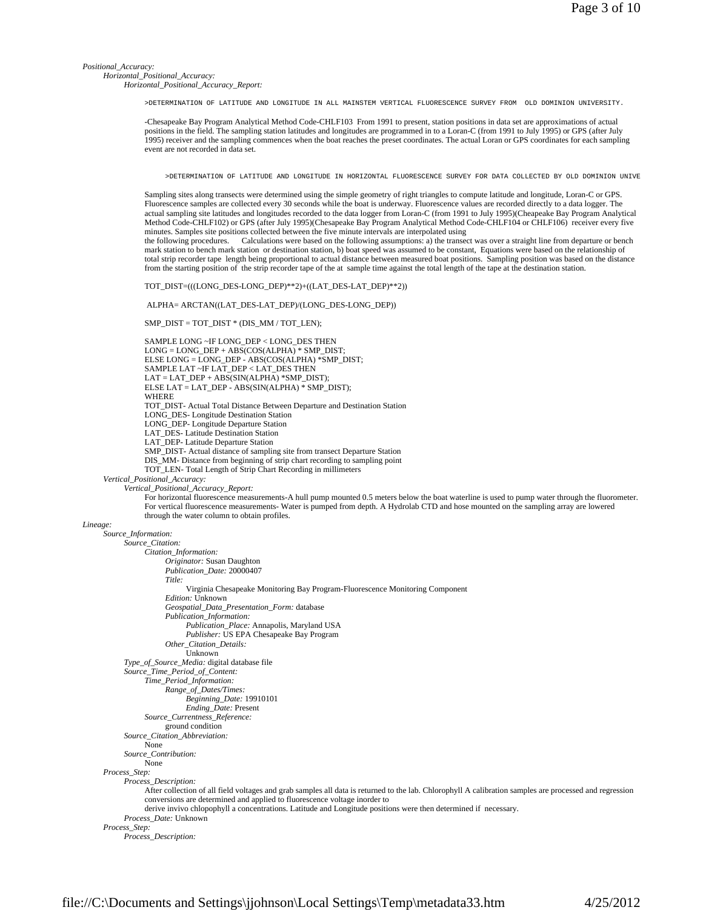*Positional\_Accuracy:*

*Horizontal\_Positional\_Accuracy:*

*Horizontal\_Positional\_Accuracy\_Report:*

>DETERMINATION OF LATITUDE AND LONGITUDE IN ALL MAINSTEM VERTICAL FLUORESCENCE SURVEY FROM OLD DOMINION UNIVERSITY.

-Chesapeake Bay Program Analytical Method Code-CHLF103 From 1991 to present, station positions in data set are approximations of actual positions in the field. The sampling station latitudes and longitudes are programmed in to a Loran-C (from 1991 to July 1995) or GPS (after July 1995) receiver and the sampling commences when the boat reaches the preset coordinates. The actual Loran or GPS coordinates for each sampling event are not recorded in data set.

>DETERMINATION OF LATITUDE AND LONGITUDE IN HORIZONTAL FLUORESCENCE SURVEY FOR DATA COLLECTED BY OLD DOMINION UNIVE

Sampling sites along transects were determined using the simple geometry of right triangles to compute latitude and longitude, Loran-C or GPS. Fluorescence samples are collected every 30 seconds while the boat is underway. Fluorescence values are recorded directly to a data logger. The actual sampling site latitudes and longitudes recorded to the data logger from Loran-C (from 1991 to July 1995)(Cheapeake Bay Program Analytical Method Code-CHLF102) or GPS (after July 1995)(Chesapeake Bay Program Analytical Method Code-CHLF104 or CHLF106) receiver every five minutes. Samples site positions collected between the five minute intervals are interpolated using

the following procedures. Calculations were based on the following assumptions: a) the transect was over a straight line from departure or bench mark station to bench mark station or destination station, b) boat speed was assumed to be constant, Equations were based on the relationship of total strip recorder tape length being proportional to actual distance between measured boat positions. Sampling position was based on the distance from the starting position of the strip recorder tape of the at sample time against the total length of the tape at the destination station.

TOT\_DIST=(((LONG\_DES-LONG\_DEP)\*\*2)+((LAT\_DES-LAT\_DEP)\*\*2))

ALPHA= ARCTAN((LAT\_DES-LAT\_DEP)/(LONG\_DES-LONG\_DEP))

SMP\_DIST = TOT\_DIST \* (DIS\_MM / TOT\_LEN);

through the water column to obtain profiles.

SAMPLE LONG ~IF LONG\_DEP < LONG\_DES THEN  $LONG = LONG\_DEP + ABS(COS(ALPHA)^* SMP\_DIST;$ ELSE LONG = LONG\_DEP - ABS(COS(ALPHA) \*SMP\_DIST; SAMPLE LAT ~IF LAT\_DEP < LAT\_DES THEN  $LAT = LAT\_DEP + ABS(SIN(ALPHA) * SMP\_DIST);$ ELSE LAT = LAT\_DEP - ABS(SIN(ALPHA) \* SMP\_DIST); **WHERE** TOT\_DIST- Actual Total Distance Between Departure and Destination Station LONG\_DES- Longitude Destination Station LONG\_DEP- Longitude Departure Station LAT\_DES- Latitude Destination Station LAT\_DEP- Latitude Departure Station SMP\_DIST- Actual distance of sampling site from transect Departure Station DIS\_MM- Distance from beginning of strip chart recording to sampling point TOT\_LEN- Total Length of Strip Chart Recording in millimeters *Vertical\_Positional\_Accuracy: Vertical\_Positional\_Accuracy\_Report:* For horizontal fluorescence measurements-A hull pump mounted 0.5 meters below the boat waterline is used to pump water through the fluorometer. For vertical fluorescence measurements- Water is pumped from depth. A Hydrolab CTD and hose mounted on the sampling array are lowered

*Lineage:*

```
Source_Information: 
     Source_Citation: 
            Citation_Information: 
                  Originator: Susan Daughton 
                  Publication_Date: 20000407 
                 Title: 
                        Virginia Chesapeake Monitoring Bay Program-Fluorescence Monitoring Component 
                  Edition: Unknown 
                  Geospatial_Data_Presentation_Form: database 
                  Publication_Information: 
                        Publication_Place: Annapolis, Maryland USA 
                        Publisher: US EPA Chesapeake Bay Program 
                  Other_Citation_Details: 
                       Unknown 
      Type_of_Source_Media: digital database file 
      Source_Time_Period_of_Content: 
           Time_Period_Information: 
                 Range_of_Dates/Times: 
                        Beginning_Date: 19910101 
                        Ending_Date: Present 
           Source_Currentness_Reference: 
                 ground condition 
      Source_Citation_Abbreviation: 
           None 
      Source_Contribution: 
           None 
Process_Step: 
      Process_Description: 
            After collection of all field voltages and grab samples all data is returned to the lab. Chlorophyll A calibration samples are processed and regression 
            conversions are determined and applied to fluorescence voltage inorder to 
            derive invivo chlopophyll a concentrations. Latitude and Longitude positions were then determined if necessary. 
     Process_Date: Unknown 
Process_Step: 
     Process_Description:
```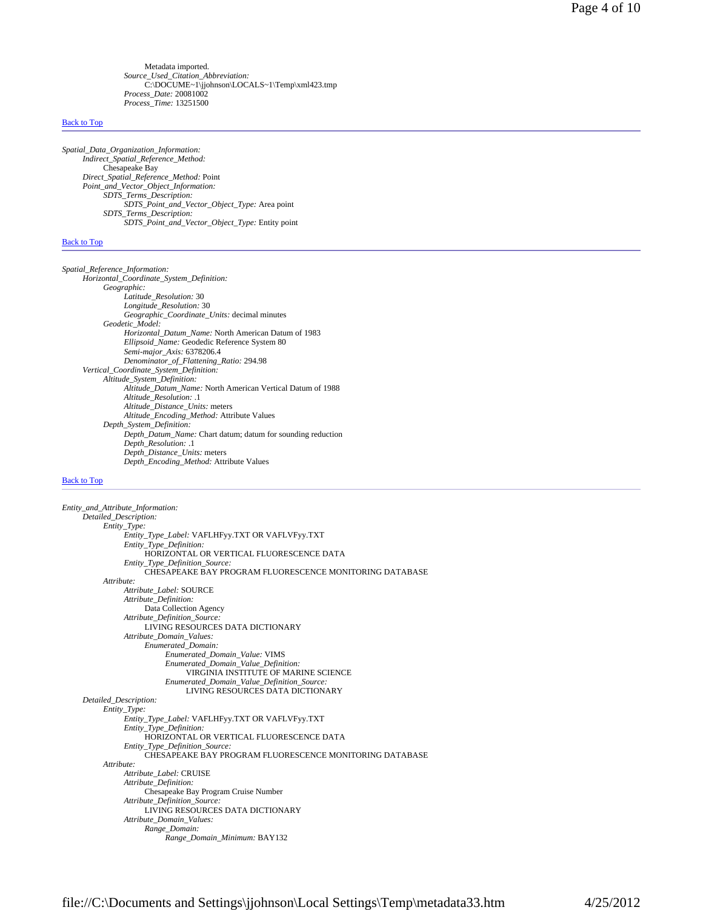Metadata imported. *Source\_Used\_Citation\_Abbreviation:* C:\DOCUME~1\jjohnson\LOCALS~1\Temp\xml423.tmp *Process\_Date:* 20081002 *Process\_Time:* 13251500

#### Back to Top

*Spatial\_Data\_Organization\_Information: Indirect\_Spatial\_Reference\_Method:* Chesapeake Bay *Direct\_Spatial\_Reference\_Method:* Point *Point\_and\_Vector\_Object\_Information: SDTS\_Terms\_Description: SDTS\_Point\_and\_Vector\_Object\_Type:* Area point *SDTS\_Terms\_Description: SDTS\_Point\_and\_Vector\_Object\_Type:* Entity point

#### Back to Top

*Spatial\_Reference\_Information: Horizontal\_Coordinate\_System\_Definition: Geographic: Latitude\_Resolution:* 30 *Longitude\_Resolution:* 30 *Geographic\_Coordinate\_Units:* decimal minutes *Geodetic\_Model: Horizontal\_Datum\_Name:* North American Datum of 1983 *Ellipsoid\_Name:* Geodedic Reference System 80 *Semi-major\_Axis:* 6378206.4 *Denominator\_of\_Flattening\_Ratio:* 294.98 *Vertical\_Coordinate\_System\_Definition: Altitude\_System\_Definition: Altitude\_Datum\_Name:* North American Vertical Datum of 1988 *Altitude\_Resolution:* .1 *Altitude\_Distance\_Units:* meters *Altitude\_Encoding\_Method:* Attribute Values *Depth\_System\_Definition: Depth\_Datum\_Name:* Chart datum; datum for sounding reduction *Depth\_Resolution:* .1 *Depth\_Distance\_Units:* meters *Depth\_Encoding\_Method:* Attribute Values

#### Back to Top

*Entity\_and\_Attribute\_Information: Detailed\_Description: Entity\_Type: Entity\_Type\_Label:* VAFLHFyy.TXT OR VAFLVFyy.TXT *Entity\_Type\_Definition:* HORIZONTAL OR VERTICAL FLUORESCENCE DATA *Entity\_Type\_Definition\_Source:* CHESAPEAKE BAY PROGRAM FLUORESCENCE MONITORING DATABASE *Attribute: Attribute\_Label:* SOURCE *Attribute\_Definition:* Data Collection Agency *Attribute\_Definition\_Source:* LIVING RESOURCES DATA DICTIONARY *Attribute\_Domain\_Values: Enumerated\_Domain: Enumerated\_Domain\_Value:* VIMS *Enumerated\_Domain\_Value\_Definition:* VIRGINIA INSTITUTE OF MARINE SCIENCE *Enumerated\_Domain\_Value\_Definition\_Source:* LIVING RESOURCES DATA DICTIONARY *Detailed\_Description: Entity\_Type: Entity\_Type\_Label:* VAFLHFyy.TXT OR VAFLVFyy.TXT *Entity\_Type\_Definition:* HORIZONTAL OR VERTICAL FLUORESCENCE DATA *Entity\_Type\_Definition\_Source:* CHESAPEAKE BAY PROGRAM FLUORESCENCE MONITORING DATABASE *Attribute: Attribute\_Label:* CRUISE *Attribute\_Definition:* Chesapeake Bay Program Cruise Number *Attribute\_Definition\_Source:* LIVING RESOURCES DATA DICTIONARY *Attribute\_Domain\_Values: Range\_Domain: Range\_Domain\_Minimum:* BAY132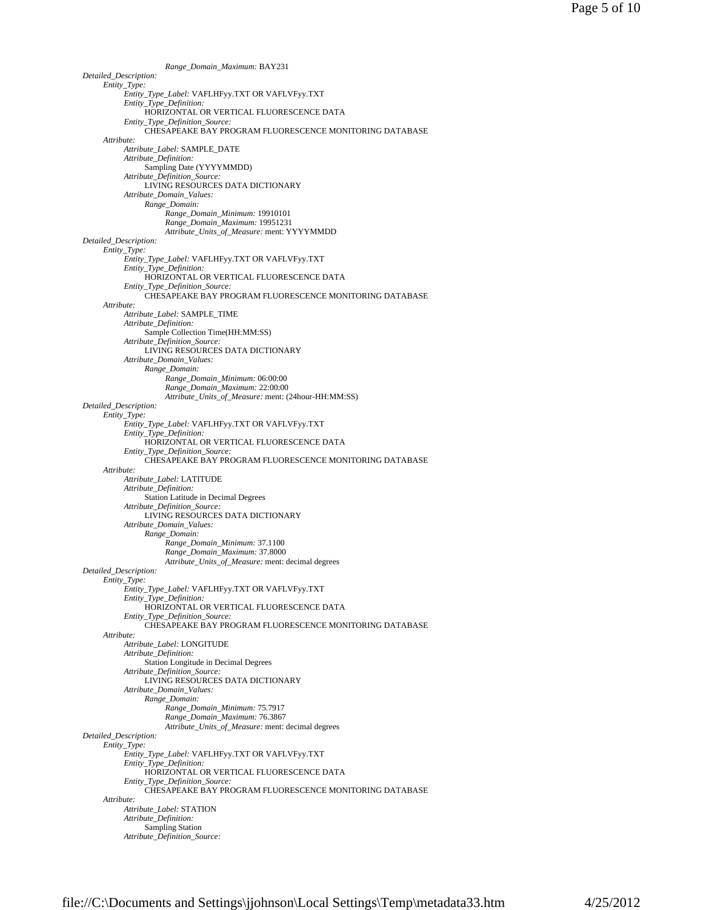*Range\_Domain\_Maximum:* BAY231 *Detailed\_Description: Entity\_Type: Entity\_Type\_Label:* VAFLHFyy.TXT OR VAFLVFyy.TXT *Entity\_Type\_Definition:* HORIZONTAL OR VERTICAL FLUORESCENCE DATA *Entity\_Type\_Definition\_Source:* CHESAPEAKE BAY PROGRAM FLUORESCENCE MONITORING DATABASE *Attribute: Attribute\_Label:* SAMPLE\_DATE *Attribute\_Definition:* Sampling Date (YYYYMMDD) *Attribute\_Definition\_Source:* LIVING RESOURCES DATA DICTIONARY *Attribute\_Domain\_Values: Range\_Domain: Range\_Domain\_Minimum:* 19910101 *Range\_Domain\_Maximum:* 19951231 *Attribute\_Units\_of\_Measure:* ment: YYYYMMDD *Detailed\_Description: Entity\_Type: Entity\_Type\_Label:* VAFLHFyy.TXT OR VAFLVFyy.TXT *Entity\_Type\_Definition:* HORIZONTAL OR VERTICAL FLUORESCENCE DATA *Entity\_Type\_Definition\_Source:* CHESAPEAKE BAY PROGRAM FLUORESCENCE MONITORING DATABASE *Attribute: Attribute\_Label:* SAMPLE\_TIME *Attribute\_Definition:* Sample Collection Time(HH:MM:SS) *Attribute\_Definition\_Source:* LIVING RESOURCES DATA DICTIONARY *Attribute\_Domain\_Values: Range\_Domain: Range\_Domain\_Minimum:* 06:00:00 *Range\_Domain\_Maximum:* 22:00:00 *Attribute\_Units\_of\_Measure:* ment: (24hour-HH:MM:SS) *Detailed\_Description: Entity\_Type: Entity\_Type\_Label:* VAFLHFyy.TXT OR VAFLVFyy.TXT *Entity\_Type\_Definition:* HORIZONTAL OR VERTICAL FLUORESCENCE DATA *Entity\_Type\_Definition\_Source:* CHESAPEAKE BAY PROGRAM FLUORESCENCE MONITORING DATABASE *Attribute: Attribute\_Label:* LATITUDE *Attribute\_Definition:* Station Latitude in Decimal Degrees *Attribute\_Definition\_Source:* LIVING RESOURCES DATA DICTIONARY *Attribute\_Domain\_Values: Range\_Domain: Range\_Domain\_Minimum:* 37.1100 *Range\_Domain\_Maximum:* 37.8000 *Attribute\_Units\_of\_Measure:* ment: decimal degrees *Detailed\_Description: Entity\_Type: Entity\_Type\_Label:* VAFLHFyy.TXT OR VAFLVFyy.TXT *Entity\_Type\_Definition:* HORIZONTAL OR VERTICAL FLUORESCENCE DATA *Entity\_Type\_Definition\_Source:* CHESAPEAKE BAY PROGRAM FLUORESCENCE MONITORING DATABASE *Attribute: Attribute\_Label:* LONGITUDE *Attribute\_Definition:* Station Longitude in Decimal Degrees *Attribute\_Definition\_Source:* LIVING RESOURCES DATA DICTIONARY *Attribute\_Domain\_Values: Range\_Domain: Range\_Domain\_Minimum:* 75.7917 *Range\_Domain\_Maximum:* 76.3867 *Attribute\_Units\_of\_Measure:* ment: decimal degrees *Detailed\_Description: Entity\_Type: Entity\_Type\_Label:* VAFLHFyy.TXT OR VAFLVFyy.TXT *Entity\_Type\_Definition:* HORIZONTAL OR VERTICAL FLUORESCENCE DATA *Entity\_Type\_Definition\_Source:* CHESAPEAKE BAY PROGRAM FLUORESCENCE MONITORING DATABASE *Attribute: Attribute\_Label:* STATION *Attribute\_Definition:* Sampling Station *Attribute\_Definition\_Source:*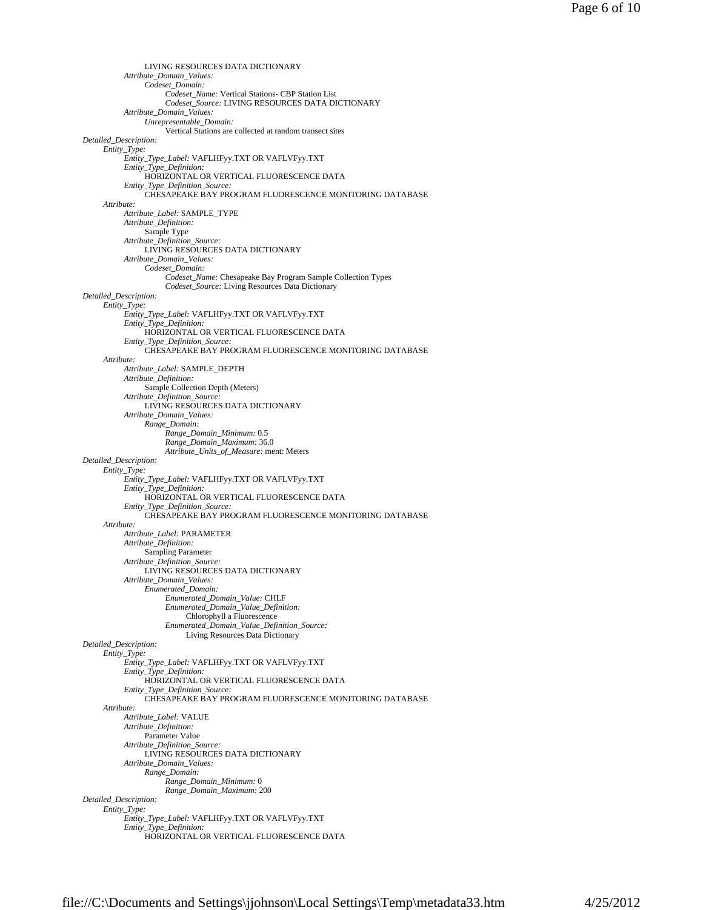LIVING RESOURCES DATA DICTIONARY *Attribute\_Domain\_Values: Codeset\_Domain: Codeset\_Name:* Vertical Stations- CBP Station List *Codeset\_Source:* LIVING RESOURCES DATA DICTIONARY *Attribute\_Domain\_Values: Unrepresentable\_Domain:* Vertical Stations are collected at random transect sites *Detailed\_Description: Entity\_Type: Entity\_Type\_Label:* VAFLHFyy.TXT OR VAFLVFyy.TXT *Entity\_Type\_Definition:* HORIZONTAL OR VERTICAL FLUORESCENCE DATA *Entity\_Type\_Definition\_Source:* CHESAPEAKE BAY PROGRAM FLUORESCENCE MONITORING DATABASE *Attribute: Attribute\_Label:* SAMPLE\_TYPE *Attribute\_Definition:* Sample Type *Attribute\_Definition\_Source:* LIVING RESOURCES DATA DICTIONARY *Attribute\_Domain\_Values: Codeset\_Domain: Codeset\_Name:* Chesapeake Bay Program Sample Collection Types *Codeset\_Source:* Living Resources Data Dictionary *Detailed\_Description: Entity\_Type: Entity\_Type\_Label:* VAFLHFyy.TXT OR VAFLVFyy.TXT *Entity\_Type\_Definition:* HORIZONTAL OR VERTICAL FLUORESCENCE DATA *Entity\_Type\_Definition\_Source:* CHESAPEAKE BAY PROGRAM FLUORESCENCE MONITORING DATABASE *Attribute: Attribute\_Label:* SAMPLE\_DEPTH *Attribute\_Definition:* Sample Collection Depth (Meters) *Attribute\_Definition\_Source:* LIVING RESOURCES DATA DICTIONARY *Attribute\_Domain\_Values: Range\_Domain: Range\_Domain\_Minimum:* 0.5 *Range\_Domain\_Maximum:* 36.0 *Attribute\_Units\_of\_Measure:* ment: Meters *Detailed\_Description: Entity\_Type: Entity\_Type\_Label:* VAFLHFyy.TXT OR VAFLVFyy.TXT *Entity\_Type\_Definition:* HORIZONTAL OR VERTICAL FLUORESCENCE DATA *Entity\_Type\_Definition\_Source:* CHESAPEAKE BAY PROGRAM FLUORESCENCE MONITORING DATABASE *Attribute: Attribute\_Label:* PARAMETER *Attribute\_Definition:* Sampling Parameter *Attribute\_Definition\_Source:* LIVING RESOURCES DATA DICTIONARY *Attribute\_Domain\_Values: Enumerated\_Domain: Enumerated\_Domain\_Value:* CHLF *Enumerated\_Domain\_Value\_Definition:* Chlorophyll a Fluorescence *Enumerated\_Domain\_Value\_Definition\_Source:* Living Resources Data Dictionary *Detailed\_Description: Entity\_Type: Entity\_Type\_Label:* VAFLHFyy.TXT OR VAFLVFyy.TXT *Entity\_Type\_Definition:* HORIZONTAL OR VERTICAL FLUORESCENCE DATA *Entity\_Type\_Definition\_Source:* CHESAPEAKE BAY PROGRAM FLUORESCENCE MONITORING DATABASE *Attribute: Attribute\_Label:* VALUE *Attribute\_Definition:* Parameter Value *Attribute\_Definition\_Source:* LIVING RESOURCES DATA DICTIONARY *Attribute\_Domain\_Values: Range\_Domain: Range\_Domain\_Minimum:* 0 *Range\_Domain\_Maximum:* 200 *Detailed\_Description: Entity\_Type: Entity\_Type\_Label:* VAFLHFyy.TXT OR VAFLVFyy.TXT *Entity\_Type\_Definition:* HORIZONTAL OR VERTICAL FLUORESCENCE DATA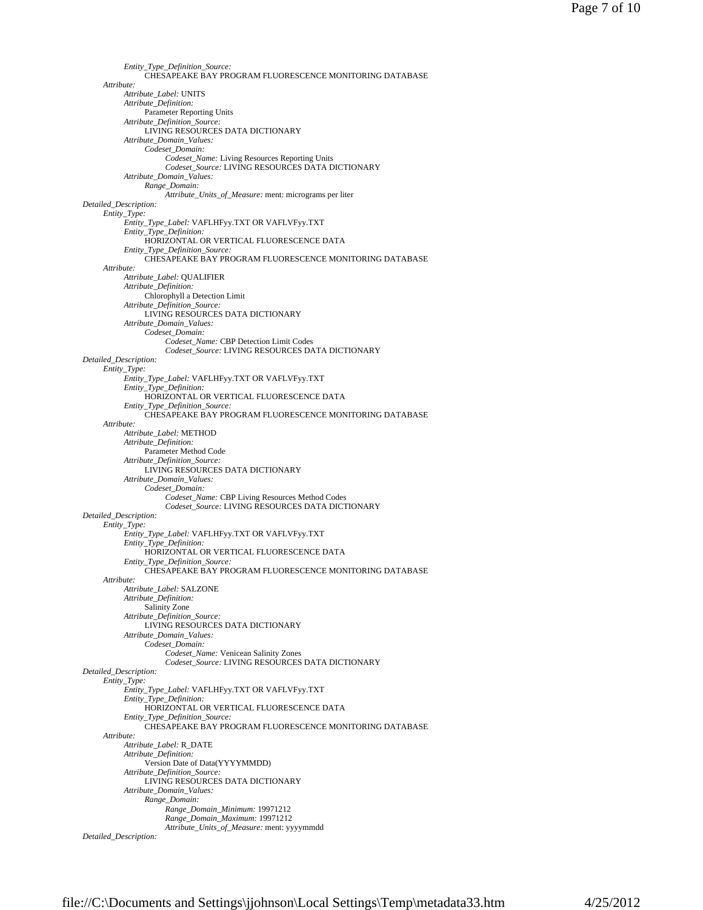```
Entity_Type_Definition_Source: 
                CHESAPEAKE BAY PROGRAM FLUORESCENCE MONITORING DATABASE 
     Attribute: 
          Attribute_Label: UNITS 
          Attribute_Definition: 
               Parameter Reporting Units 
          Attribute_Definition_Source: 
               LIVING RESOURCES DATA DICTIONARY 
          Attribute_Domain_Values: 
               Codeset_Domain: 
                     Codeset_Name: Living Resources Reporting Units 
                     Codeset_Source: LIVING RESOURCES DATA DICTIONARY 
          Attribute_Domain_Values: 
               Range_Domain: 
                     Attribute_Units_of_Measure: ment: micrograms per liter 
Detailed_Description: 
     Entity_Type: 
          Entity_Type_Label: VAFLHFyy.TXT OR VAFLVFyy.TXT 
          Entity_Type_Definition: 
               HORIZONTAL OR VERTICAL FLUORESCENCE DATA 
          Entity_Type_Definition_Source: 
               CHESAPEAKE BAY PROGRAM FLUORESCENCE MONITORING DATABASE 
     Attribute: 
          Attribute_Label: QUALIFIER 
          Attribute_Definition: 
               Chlorophyll a Detection Limit 
          Attribute_Definition_Source: 
               LIVING RESOURCES DATA DICTIONARY 
          Attribute_Domain_Values: 
                Codeset_Domain: 
                     Codeset_Name: CBP Detection Limit Codes 
                     Codeset_Source: LIVING RESOURCES DATA DICTIONARY 
Detailed_Description: 
     Entity_Type: 
          Entity_Type_Label: VAFLHFyy.TXT OR VAFLVFyy.TXT 
          Entity_Type_Definition: 
               HORIZONTAL OR VERTICAL FLUORESCENCE DATA 
          Entity_Type_Definition_Source: 
               CHESAPEAKE BAY PROGRAM FLUORESCENCE MONITORING DATABASE 
     Attribute: 
          Attribute_Label: METHOD 
          Attribute_Definition: 
               Parameter Method Code 
          Attribute_Definition_Source: 
               LIVING RESOURCES DATA DICTIONARY 
          Attribute_Domain_Values: 
               Codeset_Domain: 
                     Codeset_Name: CBP Living Resources Method Codes 
                     Codeset_Source: LIVING RESOURCES DATA DICTIONARY 
Detailed_Description: 
     Entity_Type: 
          Entity_Type_Label: VAFLHFyy.TXT OR VAFLVFyy.TXT 
          Entity_Type_Definition: 
               HORIZONTAL OR VERTICAL FLUORESCENCE DATA 
          Entity_Type_Definition_Source: 
                CHESAPEAKE BAY PROGRAM FLUORESCENCE MONITORING DATABASE 
     Attribute: 
           Attribute_Label: SALZONE 
Attribute_Definition: 
               Salinity Zone 
          Attribute_Definition_Source: 
               LIVING RESOURCES DATA DICTIONARY 
          Attribute_Domain_Values: 
                Codeset_Domain: 
                     Codeset_Name: Venicean Salinity Zones 
                     Codeset_Source: LIVING RESOURCES DATA DICTIONARY 
Detailed_Description: 
     Entity_Type: 
          Entity_Type_Label: VAFLHFyy.TXT OR VAFLVFyy.TXT 
          Entity_Type_Definition: 
               HORIZONTAL OR VERTICAL FLUORESCENCE DATA 
           Entity_Type_Definition_Source: 
CHESAPEAKE BAY PROGRAM FLUORESCENCE MONITORING DATABASE 
     Attribute: 
          Attribute_Label: R_DATE 
          Attribute_Definition: 
               Version Date of Data(YYYYMMDD) 
          Attribute_Definition_Source: 
               LIVING RESOURCES DATA DICTIONARY 
          Attribute_Domain_Values: 
               Range_Domain: 
                     Range_Domain_Minimum: 19971212 
                     Range_Domain_Maximum: 19971212 
                     Attribute_Units_of_Measure: ment: yyyymmdd 
Detailed_Description:
```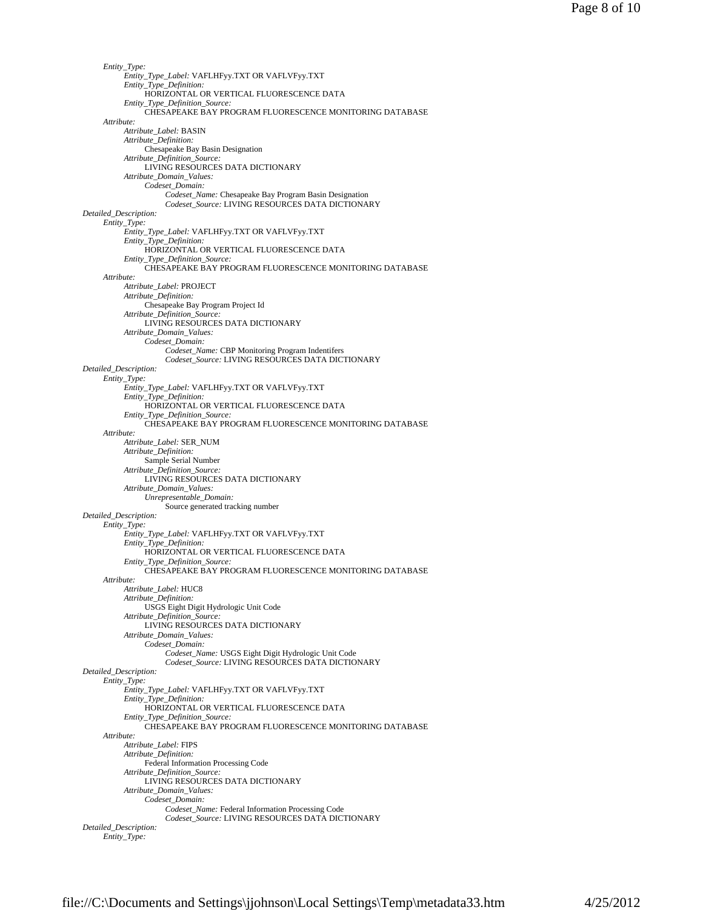```
Entity_Type: 
           Entity_Type_Label: VAFLHFyy.TXT OR VAFLVFyy.TXT 
           Entity_Type_Definition: 
                HORIZONTAL OR VERTICAL FLUORESCENCE DATA 
           Entity_Type_Definition_Source: 
                CHESAPEAKE BAY PROGRAM FLUORESCENCE MONITORING DATABASE 
     Attribute: 
          Attribute_Label: BASIN 
           Attribute_Definition: 
Chesapeake Bay Basin Designation 
          Attribute_Definition_Source: 
               LIVING RESOURCES DATA DICTIONARY 
          Attribute_Domain_Values: 
                Codeset_Domain: 
                     Codeset_Name: Chesapeake Bay Program Basin Designation 
                     Codeset_Source: LIVING RESOURCES DATA DICTIONARY 
Detailed_Description: 
     Entity_Type: 
          Entity_Type_Label: VAFLHFyy.TXT OR VAFLVFyy.TXT 
           Entity_Type_Definition: 
HORIZONTAL OR VERTICAL FLUORESCENCE DATA 
          Entity_Type_Definition_Source: 
                CHESAPEAKE BAY PROGRAM FLUORESCENCE MONITORING DATABASE 
     Attribute: 
          Attribute_Label: PROJECT 
          Attribute_Definition: 
                Chesapeake Bay Program Project Id 
           Attribute_Definition_Source: 
LIVING RESOURCES DATA DICTIONARY 
          Attribute_Domain_Values: 
                Codeset_Domain: 
                     Codeset_Name: CBP Monitoring Program Indentifers 
                     Codeset_Source: LIVING RESOURCES DATA DICTIONARY 
Detailed_Description: 
     Entity_Type: 
          Entity_Type_Label: VAFLHFyy.TXT OR VAFLVFyy.TXT 
          Entity_Type_Definition: 
                HORIZONTAL OR VERTICAL FLUORESCENCE DATA 
          Entity_Type_Definition_Source: 
                CHESAPEAKE BAY PROGRAM FLUORESCENCE MONITORING DATABASE 
     Attribute: 
          Attribute_Label: SER_NUM 
          Attribute_Definition: 
                Sample Serial Number 
          Attribute_Definition_Source: 
                LIVING RESOURCES DATA DICTIONARY 
          Attribute_Domain_Values: 
                Unrepresentable_Domain: 
                     Source generated tracking number 
Detailed_Description: 
     Entity_Type: 
          Entity_Type_Label: VAFLHFyy.TXT OR VAFLVFyy.TXT 
          Entity_Type_Definition: 
                HORIZONTAL OR VERTICAL FLUORESCENCE DATA 
          Entity_Type_Definition_Source: 
                CHESAPEAKE BAY PROGRAM FLUORESCENCE MONITORING DATABASE 
     Attribute: 
           Attribute_Label: HUC8 
Attribute_Definition: 
                USGS Eight Digit Hydrologic Unit Code 
          Attribute_Definition_Source: 
                LIVING RESOURCES DATA DICTIONARY 
          Attribute_Domain_Values: 
                Codeset_Domain: 
                     Codeset_Name: USGS Eight Digit Hydrologic Unit Code 
                     Codeset_Source: LIVING RESOURCES DATA DICTIONARY 
Detailed_Description: 
     Entity_Type: 
          Entity_Type_Label: VAFLHFyy.TXT OR VAFLVFyy.TXT 
          Entity_Type_Definition: 
                HORIZONTAL OR VERTICAL FLUORESCENCE DATA 
           Entity_Type_Definition_Source: 
CHESAPEAKE BAY PROGRAM FLUORESCENCE MONITORING DATABASE 
     Attribute: 
          Attribute_Label: FIPS 
          Attribute_Definition: 
                Federal Information Processing Code 
          Attribute_Definition_Source: 
                LIVING RESOURCES DATA DICTIONARY 
          Attribute_Domain_Values: 
                Codeset_Domain: 
                     Codeset_Name: Federal Information Processing Code 
                      Codeset_Source: LIVING RESOURCES DATA DICTIONARY 
Detailed_Description: 
     Entity_Type:
```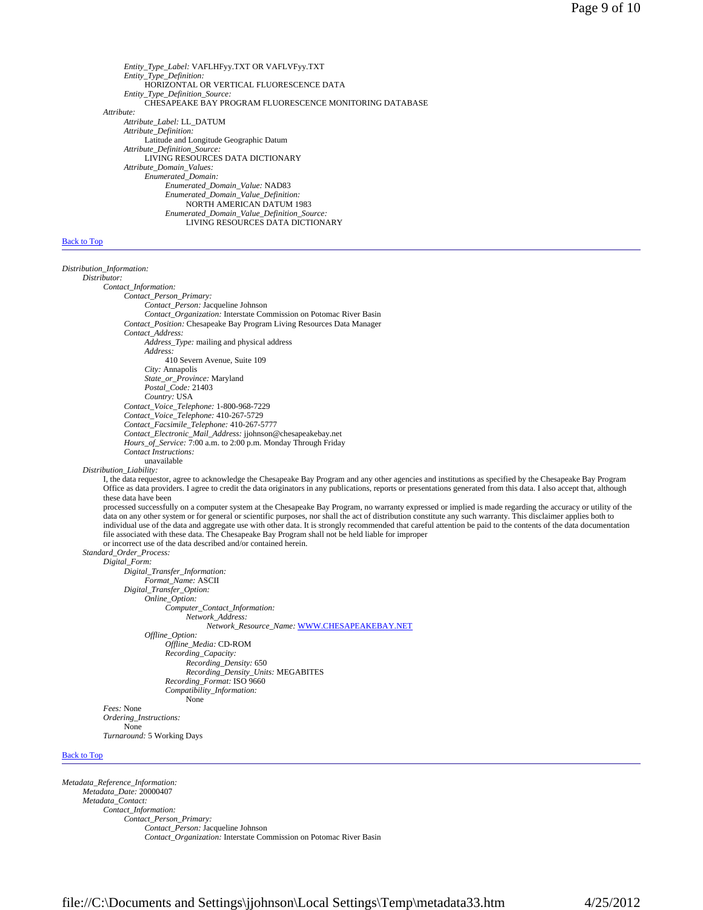*Entity\_Type\_Label:* VAFLHFyy.TXT OR VAFLVFyy.TXT *Entity\_Type\_Definition:* HORIZONTAL OR VERTICAL FLUORESCENCE DATA *Entity\_Type\_Definition\_Source:* CHESAPEAKE BAY PROGRAM FLUORESCENCE MONITORING DATABASE *Attribute: Attribute\_Label:* LL\_DATUM *Attribute\_Definition:* Latitude and Longitude Geographic Datum *Attribute\_Definition\_Source:* LIVING RESOURCES DATA DICTIONARY *Attribute\_Domain\_Values: Enumerated\_Domain: Enumerated\_Domain\_Value:* NAD83 *Enumerated\_Domain\_Value\_Definition:* NORTH AMERICAN DATUM 1983 *Enumerated\_Domain\_Value\_Definition\_Source:* LIVING RESOURCES DATA DICTIONARY

### **Back to Top**

*Distribution\_Information: Distributor: Contact\_Information: Contact\_Person\_Primary: Contact\_Person:* Jacqueline Johnson *Contact\_Organization:* Interstate Commission on Potomac River Basin *Contact\_Position:* Chesapeake Bay Program Living Resources Data Manager *Contact\_Address: Address\_Type:* mailing and physical address *Address:* 410 Severn Avenue, Suite 109 *City:* Annapolis *State\_or\_Province:* Maryland *Postal\_Code:* 21403 *Country:* USA *Contact\_Voice\_Telephone:* 1-800-968-7229 *Contact\_Voice\_Telephone:* 410-267-5729 *Contact\_Facsimile\_Telephone:* 410-267-5777 *Contact\_Electronic\_Mail\_Address:* jjohnson@chesapeakebay.net *Hours\_of\_Service:* 7:00 a.m. to 2:00 p.m. Monday Through Friday *Contact Instructions:* unavailable *Distribution\_Liability:* I, the data requestor, agree to acknowledge the Chesapeake Bay Program and any other agencies and institutions as specified by the Chesapeake Bay Program Office as data providers. I agree to credit the data originators in any publications, reports or presentations generated from this data. I also accept that, although these data have been processed successfully on a computer system at the Chesapeake Bay Program, no warranty expressed or implied is made regarding the accuracy or utility of the data on any other system or for general or scientific purposes, nor shall the act of distribution constitute any such warranty. This disclaimer applies both to individual use of the data and aggregate use with other data. file associated with these data. The Chesapeake Bay Program shall not be held liable for improper or incorrect use of the data described and/or contained herein. *Standard\_Order\_Process: Digital\_Form: Digital\_Transfer\_Information: Format\_Name:* ASCII *Digital\_Transfer\_Option: Online\_Option: Computer\_Contact\_Information: Network\_Address: Network\_Resource\_Name:* WWW.CHESAPEAKEBAY.NET *Offline\_Option: Offline\_Media:* CD-ROM *Recording\_Capacity: Recording\_Density:* 650 *Recording\_Density\_Units:* MEGABITES *Recording\_Format:* ISO 9660 *Compatibility\_Information:* None *Fees:* None *Ordering\_Instructions:* None *Turnaround:* 5 Working Days Back to Top

*Metadata\_Reference\_Information: Metadata\_Date:* 20000407 *Metadata\_Contact: Contact\_Information: Contact\_Person\_Primary: Contact\_Person:* Jacqueline Johnson *Contact\_Organization:* Interstate Commission on Potomac River Basin